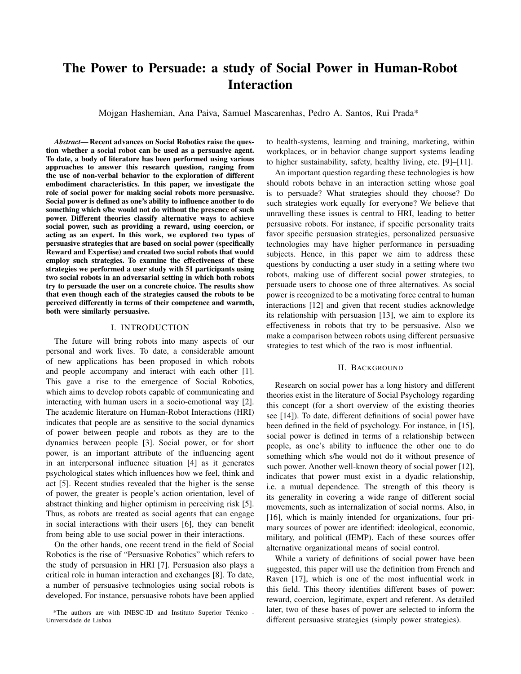# The Power to Persuade: a study of Social Power in Human-Robot **Interaction**

Mojgan Hashemian, Ana Paiva, Samuel Mascarenhas, Pedro A. Santos, Rui Prada\*

**Abstract—Recent advances on Social Robotics raise the ques**tion whether a social robot can be used as a persuasive agent. To date, a body of literature has been performed using various approaches to answer this research question, ranging from the use of non-verbal behavior to the exploration of different embodiment characteristics. In this paper, we investigate the role of social power for making social robots more persuasive. Social power is defined as one's ability to influence another to do something which s/he would not do without the presence of such power. Different theories classify alternative ways to achieve social power, such as providing a reward, using coercion, or acting as an expert. In this work, we explored two types of persuasive strategies that are based on social power (specifically Reward and Expertise) and created two social robots that would employ such strategies. To examine the effectiveness of these strategies we performed a user study with 51 participants using two social robots in an adversarial setting in which both robots try to persuade the user on a concrete choice. The results show that even though each of the strategies caused the robots to be perceived differently in terms of their competence and warmth, both were similarly persuasive.

### I. INTRODUCTION

The future will bring robots into many aspects of our personal and work lives. To date, a considerable amount of new applications has been proposed in which robots and people accompany and interact with each other [1]. This gave a rise to the emergence of Social Robotics, which aims to develop robots capable of communicating and interacting with human users in a socio-emotional way [2]. The academic literature on Human-Robot Interactions (HRI) indicates that people are as sensitive to the social dynamics of power between people and robots as they are to the dynamics between people [3]. Social power, or for short power, is an important attribute of the influencing agent in an interpersonal influence situation [4] as it generates psychological states which influences how we feel, think and act [5]. Recent studies revealed that the higher is the sense of power, the greater is people's action orientation, level of abstract thinking and higher optimism in perceiving risk [5]. Thus, as robots are treated as social agents that can engage in social interactions with their users [6], they can benefit from being able to use social power in their interactions.

On the other hands, one recent trend in the field of Social Robotics is the rise of "Persuasive Robotics" which refers to the study of persuasion in HRI [7]. Persuasion also plays a critical role in human interaction and exchanges [8]. To date, a number of persuasive technologies using social robots is developed. For instance, persuasive robots have been applied to health-systems, learning and training, marketing, within workplaces, or in behavior change support systems leading to higher sustainability, safety, healthy living, etc. [9]-[11].

An important question regarding these technologies is how should robots behave in an interaction setting whose goal is to persuade? What strategies should they choose? Do such strategies work equally for everyone? We believe that unravelling these issues is central to HRI, leading to better persuasive robots. For instance, if specific personality traits favor specific persuasion strategies, personalized persuasive technologies may have higher performance in persuading subjects. Hence, in this paper we aim to address these questions by conducting a user study in a setting where two robots, making use of different social power strategies, to persuade users to choose one of three alternatives. As social power is recognized to be a motivating force central to human interactions [12] and given that recent studies acknowledge its relationship with persuasion [13], we aim to explore its effectiveness in robots that try to be persuasive. Also we make a comparison between robots using different persuasive strategies to test which of the two is most influential.

## **II. BACKGROUND**

Research on social power has a long history and different theories exist in the literature of Social Psychology regarding this concept (for a short overview of the existing theories see [14]). To date, different definitions of social power have been defined in the field of psychology. For instance, in [15], social power is defined in terms of a relationship between people, as one's ability to influence the other one to do something which s/he would not do it without presence of such power. Another well-known theory of social power [12], indicates that power must exist in a dyadic relationship, i.e. a mutual dependence. The strength of this theory is its generality in covering a wide range of different social movements, such as internalization of social norms. Also, in [16], which is mainly intended for organizations, four primary sources of power are identified: ideological, economic, military, and political (IEMP). Each of these sources offer alternative organizational means of social control.

While a variety of definitions of social power have been suggested, this paper will use the definition from French and Raven [17], which is one of the most influential work in this field. This theory identifies different bases of power: reward, coercion, legitimate, expert and referent. As detailed later, two of these bases of power are selected to inform the different persuasive strategies (simply power strategies).

<sup>\*</sup>The authors are with INESC-ID and Instituto Superior Técnico -Universidade de Lisboa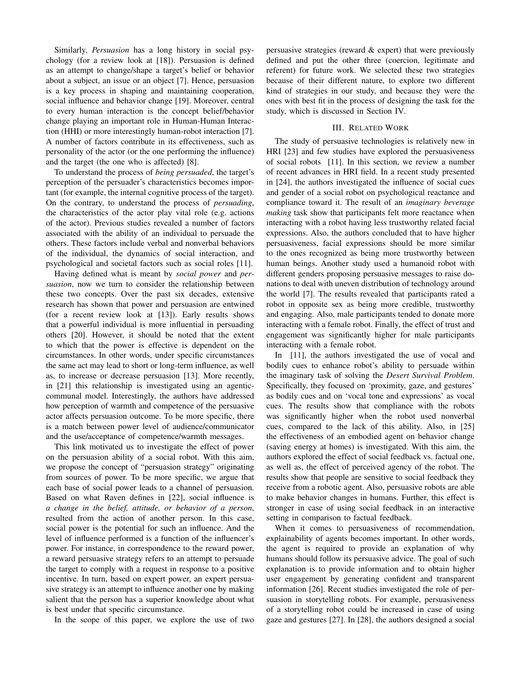Similarly, Persuasion has a long history in social psychology (for a review look at [18]). Persuasion is defined as an attempt to change/shape a target's belief or behavior about a subject, an issue or an object [7]. Hence, persuasion is a key process in shaping and maintaining cooperation, social influence and behavior change [19]. Moreover, central to every human interaction is the concept belief/behavior change playing an important role in Human-Human Interaction (HHI) or more interestingly human-robot interaction [7]. A number of factors contribute in its effectiveness, such as personality of the actor (or the one performing the influence) and the target (the one who is affected) [8].

To understand the process of being persuaded, the target's perception of the persuader's characteristics becomes important (for example, the internal cognitive process of the target). On the contrary, to understand the process of *persuading*, the characteristics of the actor play vital role (e.g. actions) of the actor). Previous studies revealed a number of factors associated with the ability of an individual to persuade the others. These factors include verbal and nonverbal behaviors of the individual, the dynamics of social interaction, and psychological and societal factors such as social roles [11].

Having defined what is meant by *social power* and *per*suasion, now we turn to consider the relationship between these two concepts. Over the past six decades, extensive research has shown that power and persuasion are entwined (for a recent review look at [13]). Early results shows that a powerful individual is more influential in persuading others [20]. However, it should be noted that the extent to which that the power is effective is dependent on the circumstances. In other words, under specific circumstances the same act may lead to short or long-term influence, as well as, to increase or decrease persuasion [13]. More recently, in [21] this relationship is investigated using an agenticcommunal model. Interestingly, the authors have addressed how perception of warmth and competence of the persuasive actor affects persuasion outcome. To be more specific, there is a match between power level of audience/communicator and the use/acceptance of competence/warmth messages.

This link motivated us to investigate the effect of power on the persuasion ability of a social robot. With this aim, we propose the concept of "persuasion strategy" originating from sources of power. To be more specific, we argue that each base of social power leads to a channel of persuasion. Based on what Raven defines in [22], social influence is a change in the belief, attitude, or behavior of a person, resulted from the action of another person. In this case, social power is the potential for such an influence. And the level of influence performed is a function of the influencer's power. For instance, in correspondence to the reward power, a reward persuasive strategy refers to an attempt to persuade the target to comply with a request in response to a positive incentive. In turn, based on expert power, an expert persuasive strategy is an attempt to influence another one by making salient that the person has a superior knowledge about what is best under that specific circumstance.

In the scope of this paper, we explore the use of two

persuasive strategies (reward & expert) that were previously defined and put the other three (coercion, legitimate and referent) for future work. We selected these two strategies because of their different nature, to explore two different kind of strategies in our study, and because they were the ones with best fit in the process of designing the task for the study, which is discussed in Section IV.

### **III. RELATED WORK**

The study of persuasive technologies is relatively new in HRI [23] and few studies have explored the persuasiveness of social robots [11]. In this section, we review a number of recent advances in HRI field. In a recent study presented in [24], the authors investigated the influence of social cues and gender of a social robot on psychological reactance and compliance toward it. The result of an *imaginary beverage making* task show that participants felt more reactance when interacting with a robot having less trustworthy related facial expressions. Also, the authors concluded that to have higher persuasiveness, facial expressions should be more similar to the ones recognized as being more trustworthy between human beings. Another study used a humanoid robot with different genders proposing persuasive messages to raise donations to deal with uneven distribution of technology around the world [7]. The results revealed that participants rated a robot in opposite sex as being more credible, trustworthy and engaging. Also, male participants tended to donate more interacting with a female robot. Finally, the effect of trust and engagement was significantly higher for male participants interacting with a female robot.

In [11], the authors investigated the use of vocal and bodily cues to enhance robot's ability to persuade within the imaginary task of solving the Desert Survival Problem. Specifically, they focused on 'proximity, gaze, and gestures' as bodily cues and on 'vocal tone and expressions' as vocal cues. The results show that compliance with the robots was significantly higher when the robot used nonverbal cues, compared to the lack of this ability. Also, in [25] the effectiveness of an embodied agent on behavior change (saving energy at homes) is investigated. With this aim, the authors explored the effect of social feedback vs. factual one, as well as, the effect of perceived agency of the robot. The results show that people are sensitive to social feedback they receive from a robotic agent. Also, persuasive robots are able to make behavior changes in humans. Further, this effect is stronger in case of using social feedback in an interactive setting in comparison to factual feedback.

When it comes to persuasiveness of recommendation, explainability of agents becomes important. In other words, the agent is required to provide an explanation of why humans should follow its persuasive advice. The goal of such explanation is to provide information and to obtain higher user engagement by generating confident and transparent information [26]. Recent studies investigated the role of persuasion in storytelling robots. For example, persuasiveness of a storytelling robot could be increased in case of using gaze and gestures [27]. In [28], the authors designed a social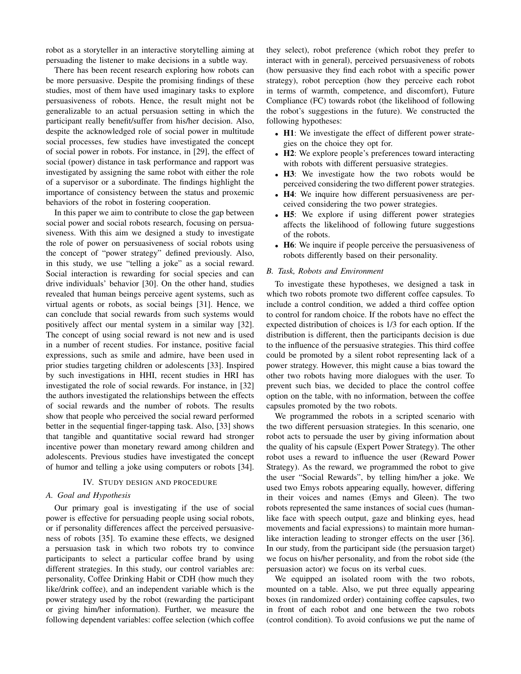robot as a storyteller in an interactive storytelling aiming at persuading the listener to make decisions in a subtle way.

There has been recent research exploring how robots can be more persuasive. Despite the promising findings of these studies, most of them have used imaginary tasks to explore persuasiveness of robots. Hence, the result might not be generalizable to an actual persuasion setting in which the participant really benefit/suffer from his/her decision. Also, despite the acknowledged role of social power in multitude social processes, few studies have investigated the concept of social power in robots. For instance, in [29], the effect of social (power) distance in task performance and rapport was investigated by assigning the same robot with either the role of a supervisor or a subordinate. The findings highlight the importance of consistency between the status and proxemic behaviors of the robot in fostering cooperation.

In this paper we aim to contribute to close the gap between social power and social robots research, focusing on persuasiveness. With this aim we designed a study to investigate the role of power on persuasiveness of social robots using the concept of "power strategy" defined previously. Also, in this study, we use "telling a joke" as a social reward. Social interaction is rewarding for social species and can drive individuals' behavior [30]. On the other hand, studies revealed that human beings perceive agent systems, such as virtual agents or robots, as social beings [31]. Hence, we can conclude that social rewards from such systems would positively affect our mental system in a similar way [32]. The concept of using social reward is not new and is used in a number of recent studies. For instance, positive facial expressions, such as smile and admire, have been used in prior studies targeting children or adolescents [33]. Inspired by such investigations in HHI, recent studies in HRI has investigated the role of social rewards. For instance, in [32] the authors investigated the relationships between the effects of social rewards and the number of robots. The results show that people who perceived the social reward performed better in the sequential finger-tapping task. Also, [33] shows that tangible and quantitative social reward had stronger incentive power than monetary reward among children and adolescents. Previous studies have investigated the concept of humor and telling a joke using computers or robots [34].

## IV. STUDY DESIGN AND PROCEDURE

## A. Goal and Hypothesis

Our primary goal is investigating if the use of social power is effective for persuading people using social robots, or if personality differences affect the perceived persuasiveness of robots [35]. To examine these effects, we designed a persuasion task in which two robots try to convince participants to select a particular coffee brand by using different strategies. In this study, our control variables are: personality, Coffee Drinking Habit or CDH (how much they like/drink coffee), and an independent variable which is the power strategy used by the robot (rewarding the participant or giving him/her information). Further, we measure the following dependent variables: coffee selection (which coffee

they select), robot preference (which robot they prefer to interact with in general), perceived persuasiveness of robots (how persuasive they find each robot with a specific power strategy), robot perception (how they perceive each robot in terms of warmth, competence, and discomfort), Future Compliance (FC) towards robot (the likelihood of following the robot's suggestions in the future). We constructed the following hypotheses:

- H1: We investigate the effect of different power strategies on the choice they opt for.
- H2: We explore people's preferences toward interacting with robots with different persuasive strategies.
- H3: We investigate how the two robots would be perceived considering the two different power strategies.
- H4: We inquire how different persuasiveness are perceived considering the two power strategies.
- H5: We explore if using different power strategies affects the likelihood of following future suggestions of the robots.
- H6: We inquire if people perceive the persuasiveness of robots differently based on their personality.

#### B. Task, Robots and Environment

To investigate these hypotheses, we designed a task in which two robots promote two different coffee capsules. To include a control condition, we added a third coffee option to control for random choice. If the robots have no effect the expected distribution of choices is 1/3 for each option. If the distribution is different, then the participants decision is due to the influence of the persuasive strategies. This third coffee could be promoted by a silent robot representing lack of a power strategy. However, this might cause a bias toward the other two robots having more dialogues with the user. To prevent such bias, we decided to place the control coffee option on the table, with no information, between the coffee capsules promoted by the two robots.

We programmed the robots in a scripted scenario with the two different persuasion strategies. In this scenario, one robot acts to persuade the user by giving information about the quality of his capsule (Expert Power Strategy). The other robot uses a reward to influence the user (Reward Power Strategy). As the reward, we programmed the robot to give the user "Social Rewards", by telling him/her a joke. We used two Emys robots appearing equally, however, differing in their voices and names (Emys and Gleen). The two robots represented the same instances of social cues (humanlike face with speech output, gaze and blinking eyes, head movements and facial expressions) to maintain more humanlike interaction leading to stronger effects on the user [36]. In our study, from the participant side (the persuasion target) we focus on his/her personality, and from the robot side (the persuasion actor) we focus on its verbal cues.

We equipped an isolated room with the two robots, mounted on a table. Also, we put three equally appearing boxes (in randomized order) containing coffee capsules, two in front of each robot and one between the two robots (control condition). To avoid confusions we put the name of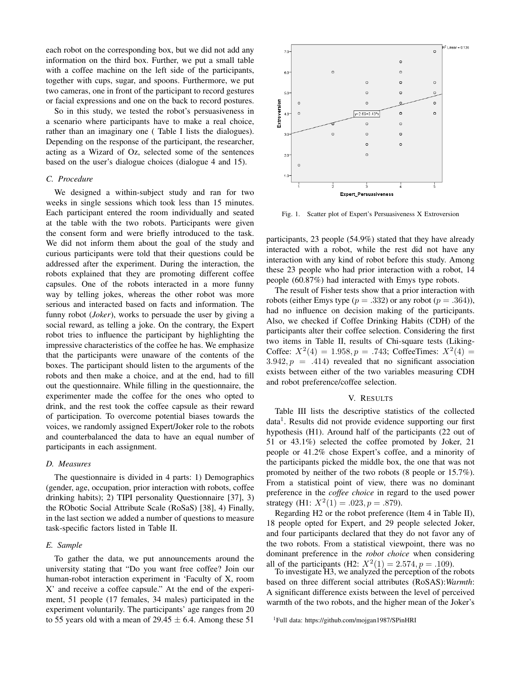each robot on the corresponding box, but we did not add any information on the third box. Further, we put a small table with a coffee machine on the left side of the participants, together with cups, sugar, and spoons. Furthermore, we put two cameras, one in front of the participant to record gestures or facial expressions and one on the back to record postures.

So in this study, we tested the robot's persuasiveness in a scenario where participants have to make a real choice, rather than an imaginary one (Table I lists the dialogues). Depending on the response of the participant, the researcher, acting as a Wizard of Oz, selected some of the sentences based on the user's dialogue choices (dialogue 4 and 15).

#### C. Procedure

We designed a within-subject study and ran for two weeks in single sessions which took less than 15 minutes. Each participant entered the room individually and seated at the table with the two robots. Participants were given the consent form and were briefly introduced to the task. We did not inform them about the goal of the study and curious participants were told that their questions could be addressed after the experiment. During the interaction, the robots explained that they are promoting different coffee capsules. One of the robots interacted in a more funny way by telling jokes, whereas the other robot was more serious and interacted based on facts and information. The funny robot (*Joker*), works to persuade the user by giving a social reward, as telling a joke. On the contrary, the Expert robot tries to influence the participant by highlighting the impressive characteristics of the coffee he has. We emphasize that the participants were unaware of the contents of the boxes. The participant should listen to the arguments of the robots and then make a choice, and at the end, had to fill out the questionnaire. While filling in the questionnaire, the experimenter made the coffee for the ones who opted to drink, and the rest took the coffee capsule as their reward of participation. To overcome potential biases towards the voices, we randomly assigned Expert/Joker role to the robots and counterbalanced the data to have an equal number of participants in each assignment.

#### D. Measures

The questionnaire is divided in 4 parts: 1) Demographics (gender, age, occupation, prior interaction with robots, coffee drinking habits); 2) TIPI personality Questionnaire [37], 3) the RObotic Social Attribute Scale (RoSaS) [38], 4) Finally, in the last section we added a number of questions to measure task-specific factors listed in Table II.

#### E. Sample

To gather the data, we put announcements around the university stating that "Do you want free coffee? Join our human-robot interaction experiment in 'Faculty of X, room X' and receive a coffee capsule." At the end of the experiment, 51 people (17 females, 34 males) participated in the experiment voluntarily. The participants' age ranges from 20 to 55 years old with a mean of 29.45  $\pm$  6.4. Among these 51



Fig. 1. Scatter plot of Expert's Persuasiveness X Extroversion

participants, 23 people (54.9%) stated that they have already interacted with a robot, while the rest did not have any interaction with any kind of robot before this study. Among these 23 people who had prior interaction with a robot, 14 people (60.87%) had interacted with Emys type robots.

The result of Fisher tests show that a prior interaction with robots (either Emys type  $(p=.332)$  or any robot  $(p=.364)$ ), had no influence on decision making of the participants. Also, we checked if Coffee Drinking Habits (CDH) of the participants alter their coffee selection. Considering the first two items in Table II, results of Chi-square tests (Liking-Coffee:  $X^2(4) = 1.958, p = .743$ ; CoffeeTimes:  $X^2(4) =$  $3.942, p = .414$  revealed that no significant association exists between either of the two variables measuring CDH and robot preference/coffee selection.

## V. RESULTS

Table III lists the descriptive statistics of the collected data<sup>1</sup>. Results did not provide evidence supporting our first hypothesis (H1). Around half of the participants (22 out of 51 or 43.1%) selected the coffee promoted by Joker, 21 people or 41.2% chose Expert's coffee, and a minority of the participants picked the middle box, the one that was not promoted by neither of the two robots (8 people or 15.7%). From a statistical point of view, there was no dominant preference in the *coffee choice* in regard to the used power strategy (H1:  $X^2(1) = .023$ ,  $p = .879$ ).

Regarding H2 or the robot preference (Item 4 in Table II), 18 people opted for Expert, and 29 people selected Joker, and four participants declared that they do not favor any of the two robots. From a statistical viewpoint, there was no dominant preference in the *robot choice* when considering all of the participants (H2:  $X^2(1) = 2.574$ ,  $p = .109$ ).

To investigate H3, we analyzed the perception of the robots based on three different social attributes (RoSAS): Warmth: A significant difference exists between the level of perceived warmth of the two robots, and the higher mean of the Joker's

<sup>&</sup>lt;sup>1</sup>Full data: https://github.com/mojgan1987/SPinHRI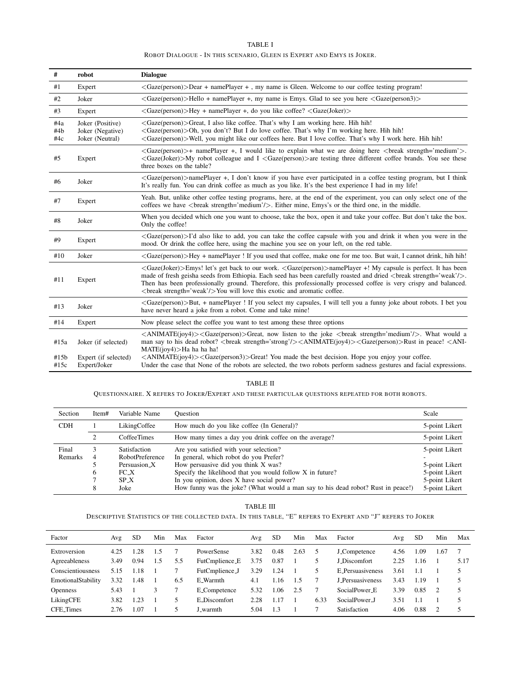| TABLET                                                               |  |  |  |  |  |  |  |  |  |  |  |  |
|----------------------------------------------------------------------|--|--|--|--|--|--|--|--|--|--|--|--|
| ROBOT DIALOGUE - IN THIS SCENARIO, GLEEN IS EXPERT AND EMYS IS JOKER |  |  |  |  |  |  |  |  |  |  |  |  |

| $\#$              | robot                                                   | <b>Dialogue</b>                                                                                                                                                                                                                                                                                                                                                                                                                                                                      |
|-------------------|---------------------------------------------------------|--------------------------------------------------------------------------------------------------------------------------------------------------------------------------------------------------------------------------------------------------------------------------------------------------------------------------------------------------------------------------------------------------------------------------------------------------------------------------------------|
| #1                | Expert                                                  | <gaze(person)>Dear + namePlayer +, my name is Gleen. Welcome to our coffee testing program!</gaze(person)>                                                                                                                                                                                                                                                                                                                                                                           |
| #2                | Joker                                                   | $\langle$ Gaze(person)>Hello + namePlayer +, my name is Emys. Glad to see you here $\langle$ Gaze(person3)>                                                                                                                                                                                                                                                                                                                                                                          |
| #3                | Expert                                                  | $\langle$ Gaze(person)>Hey + namePlayer +, do you like coffee? $\langle$ Gaze(Joker)>                                                                                                                                                                                                                                                                                                                                                                                                |
| #4a<br>#4b<br>#4c | Joker (Positive)<br>Joker (Negative)<br>Joker (Neutral) | <gaze(person)>Great, I also like coffee. That's why I am working here. Hih hih!<br/><gaze(person)>Oh, you don't? But I do love coffee. That's why I'm working here. Hih hih!<br/><gaze(person)>Well, you might like our coffees here. But I love coffee. That's why I work here. Hih hih!</gaze(person)></gaze(person)></gaze(person)>                                                                                                                                               |
| #5                | Expert                                                  | $\langle$ Gaze(person) > + namePlayer +, I would like to explain what we are doing here $\langle$ break strength='medium' >.<br><gaze(joker)>My robot colleague and I <gaze(person)>are testing three different coffee brands. You see these<br/>three boxes on the table?</gaze(person)></gaze(joker)>                                                                                                                                                                              |
| #6                | Joker                                                   | <gaze(person)>namePlayer +, I don't know if you have ever participated in a coffee testing program, but I think<br/>It's really fun. You can drink coffee as much as you like. It's the best experience I had in my life!</gaze(person)>                                                                                                                                                                                                                                             |
| #7                | Expert                                                  | Yeah. But, unlike other coffee testing programs, here, at the end of the experiment, you can only select one of the<br>coffees we have<br>break strength='medium'/>. Either mine, Emys's or the third one, in the middle.                                                                                                                                                                                                                                                            |
| #8                | Joker                                                   | When you decided which one you want to choose, take the box, open it and take your coffee. But don't take the box.<br>Only the coffee!                                                                                                                                                                                                                                                                                                                                               |
| #9                | Expert                                                  | <gaze(person)>I'd also like to add, you can take the coffee capsule with you and drink it when you were in the<br/>mood. Or drink the coffee here, using the machine you see on your left, on the red table.</gaze(person)>                                                                                                                                                                                                                                                          |
| #10               | Joker                                                   | <gaze(person)>Hey + namePlayer ! If you used that coffee, make one for me too. But wait, I cannot drink, hih hih!</gaze(person)>                                                                                                                                                                                                                                                                                                                                                     |
| #11               | Expert                                                  | <gaze(joker)>Emys! let's get back to our work. <gaze(person)>namePlayer +! My capsule is perfect. It has been<br/>made of fresh geisha seeds from Ethiopia. Each seed has been carefully roasted and dried <br/>break strength='weak'/&gt;.<br/>Then has been professionally ground. Therefore, this professionally processed coffee is very crispy and balanced.<br/><br>break strength='weak'/&gt;You will love this exotic and aromatic coffee.</br></gaze(person)></gaze(joker)> |
| #13               | Joker                                                   | <gaze(person)>But, + namePlayer ! If you select my capsules, I will tell you a funny joke about robots. I bet you<br/>have never heard a joke from a robot. Come and take mine!</gaze(person)>                                                                                                                                                                                                                                                                                       |
| #14               | Expert                                                  | Now please select the coffee you want to test among these three options                                                                                                                                                                                                                                                                                                                                                                                                              |
| #15a              | Joker (if selected)                                     | $\langle \text{ANIMATE}(joy4)\rangle$ $\langle \text{Gaze}(person)\rangle$ Great, now listen to the joke $\langle \text{break strength} = 'medium'\rangle$ . What would a<br>man say to his dead robot?<br>$\langle$ break strength='strong'/> $\langle$ ANIMATE(joy4)> $\langle$ Gaze(person)>Rust in peace! $\langle$ ANI-<br>$MATE(ioy4)$ >Ha ha ha ha!                                                                                                                           |
| #15b<br>#15c      | Expert (if selected)<br>Expert/Joker                    | $\langle \text{ANIMATE}(joy4)\rangle$ $\langle \text{Gaze}(\text{person3})\rangle$ Great! You made the best decision. Hope you enjoy your coffee.<br>Under the case that None of the robots are selected, the two robots perform sadness gestures and facial expressions.                                                                                                                                                                                                            |

#### TABLE II

QUESTIONNAIRE. X REFERS TO JOKER/EXPERT AND THESE PARTICULAR QUESTIONS REPEATED FOR BOTH ROBOTS.

| Section    | Item# | Variable Name           | Ouestion                                                                         | Scale          |
|------------|-------|-------------------------|----------------------------------------------------------------------------------|----------------|
| <b>CDH</b> |       | LikingCoffee            | How much do you like coffee (In General)?                                        | 5-point Likert |
|            |       | <b>CoffeeTimes</b>      | How many times a day you drink coffee on the average?                            | 5-point Likert |
| Final      |       | Satisfaction            | Are you satisfied with your selection?                                           | 5-point Likert |
| Remarks    | 4     | RobotPreference         | In general, which robot do you Prefer?                                           |                |
|            |       | Persuasion <sub>X</sub> | How persuasive did you think X was?                                              | 5-point Likert |
|            |       | $FC_X$                  | Specify the likelihood that you would follow X in future?                        | 5-point Likert |
|            |       | $SP_X$                  | In you opinion, does X have social power?                                        | 5-point Likert |
|            | ◠     | Joke                    | How funny was the joke? (What would a man say to his dead robot? Rust in peace!) | 5-point Likert |

 ${\tt TABLE}$   ${\tt III}$ 

DESCRIPTIVE STATISTICS OF THE COLLECTED DATA. IN THIS TABLE, "E" REFERS TO EXPERT AND "J" REFERS TO JOKER

| Factor             | Avg  | <b>SD</b> | Min | Max | Factor         | Avg  | <b>SD</b> | Min  | Max  | Factor              | Avg  | <b>SD</b> | Min  | Max  |
|--------------------|------|-----------|-----|-----|----------------|------|-----------|------|------|---------------------|------|-----------|------|------|
| Extroversion       | 4.25 | .28       | 1.5 |     | PowerSense     | 3.82 | 0.48      | 2.63 |      | <b>J_Competence</b> | 4.56 | 1.09      | 1.67 |      |
| Agreeableness      | 3.49 | 0.94      | 1.5 | 5.5 | FutCmplience_E | 3.75 | 0.87      |      |      | J Discomfort        | 2.25 | 1.16      |      | 5.17 |
| Conscientiousness  | 5.15 | .18       |     |     | FutCmplience_J | 3.29 | 1.24      |      | 5    | E_Persuasiveness    | 3.61 |           |      | 5    |
| EmotionalStability | 3.32 | l.48      |     | 6.5 | E Warmth       | 4.1  | 1.16      | 1.5  |      | J Persuasiveness    | 3.43 | 1.19      |      | 5    |
| <b>Openness</b>    | 5.43 |           |     |     | E_Competence   | 5.32 | .06       | 2.5  |      | SocialPower E       | 3.39 | 0.85      | -2   | 5    |
| LikingCFE          | 3.82 | 1.23      |     |     | E_Discomfort   | 2.28 |           |      | 6.33 | SocialPower_J       | 3.51 |           |      | 5    |
| <b>CFE</b> Times   | 2.76 | -07       |     |     | warmth         | 5.04 |           |      |      | <b>Satisfaction</b> | 4.06 | 0.88      | 2    | 5    |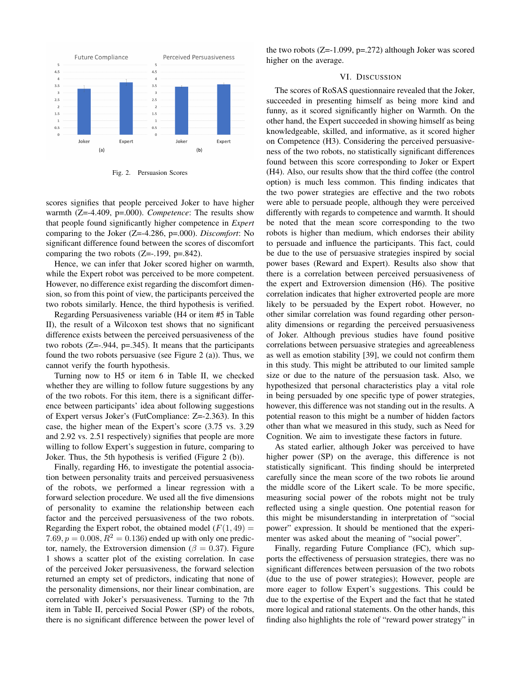

Fig. 2. Persuasion Scores

scores signifies that people perceived Joker to have higher warmth  $(Z=4.409, p=.000)$ . Competence: The results show that people found significantly higher competence in Expert comparing to the Joker ( $Z = -4.286$ ,  $p = .000$ ). *Discomfort*: No significant difference found between the scores of discomfort comparing the two robots  $(Z=-.199, p=.842)$ .

Hence, we can infer that Joker scored higher on warmth, while the Expert robot was perceived to be more competent. However, no difference exist regarding the discomfort dimension, so from this point of view, the participants perceived the two robots similarly. Hence, the third hypothesis is verified.

Regarding Persuasiveness variable (H4 or item #5 in Table II), the result of a Wilcoxon test shows that no significant difference exists between the perceived persuasiveness of the two robots  $(Z=-0.944, p=.345)$ . It means that the participants found the two robots persuasive (see Figure  $2$  (a)). Thus, we cannot verify the fourth hypothesis.

Turning now to H5 or item 6 in Table II, we checked whether they are willing to follow future suggestions by any of the two robots. For this item, there is a significant difference between participants' idea about following suggestions of Expert versus Joker's (FutCompliance: Z=-2.363). In this case, the higher mean of the Expert's score (3.75 vs. 3.29) and 2.92 vs. 2.51 respectively) signifies that people are more willing to follow Expert's suggestion in future, comparing to Joker. Thus, the 5th hypothesis is verified (Figure 2 (b)).

Finally, regarding H6, to investigate the potential association between personality traits and perceived persuasiveness of the robots, we performed a linear regression with a forward selection procedure. We used all the five dimensions of personality to examine the relationship between each factor and the perceived persuasiveness of the two robots. Regarding the Expert robot, the obtained model  $(F(1, 49) =$ 7.69,  $p = 0.008$ ,  $R^2 = 0.136$ ) ended up with only one predictor, namely, the Extroversion dimension ( $\beta = 0.37$ ). Figure 1 shows a scatter plot of the existing correlation. In case of the perceived Joker persuasiveness, the forward selection returned an empty set of predictors, indicating that none of the personality dimensions, nor their linear combination, are correlated with Joker's persuasiveness. Turning to the 7th item in Table II, perceived Social Power (SP) of the robots, there is no significant difference between the power level of

the two robots  $(Z=1.099, p=.272)$  although Joker was scored higher on the average.

## VI. DISCUSSION

The scores of RoSAS questionnaire revealed that the Joker, succeeded in presenting himself as being more kind and funny, as it scored significantly higher on Warmth. On the other hand, the Expert succeeded in showing himself as being knowledgeable, skilled, and informative, as it scored higher on Competence (H3). Considering the perceived persuasiveness of the two robots, no statistically significant differences found between this score corresponding to Joker or Expert (H4). Also, our results show that the third coffee (the control option) is much less common. This finding indicates that the two power strategies are effective and the two robots were able to persuade people, although they were perceived differently with regards to competence and warmth. It should be noted that the mean score corresponding to the two robots is higher than medium, which endorses their ability to persuade and influence the participants. This fact, could be due to the use of persuasive strategies inspired by social power bases (Reward and Expert). Results also show that there is a correlation between perceived persuasiveness of the expert and Extroversion dimension (H6). The positive correlation indicates that higher extroverted people are more likely to be persuaded by the Expert robot. However, no other similar correlation was found regarding other personality dimensions or regarding the perceived persuasiveness of Joker. Although previous studies have found positive correlations between persuasive strategies and agreeableness as well as emotion stability [39], we could not confirm them in this study. This might be attributed to our limited sample size or due to the nature of the persuasion task. Also, we hypothesized that personal characteristics play a vital role in being persuaded by one specific type of power strategies, however, this difference was not standing out in the results. A potential reason to this might be a number of hidden factors other than what we measured in this study, such as Need for Cognition. We aim to investigate these factors in future.

As stated earlier, although Joker was perceived to have higher power (SP) on the average, this difference is not statistically significant. This finding should be interpreted carefully since the mean score of the two robots lie around the middle score of the Likert scale. To be more specific, measuring social power of the robots might not be truly reflected using a single question. One potential reason for this might be misunderstanding in interpretation of "social power" expression. It should be mentioned that the experimenter was asked about the meaning of "social power".

Finally, regarding Future Compliance (FC), which supports the effectiveness of persuasion strategies, there was no significant differences between persuasion of the two robots (due to the use of power strategies); However, people are more eager to follow Expert's suggestions. This could be due to the expertise of the Expert and the fact that he stated more logical and rational statements. On the other hands, this finding also highlights the role of "reward power strategy" in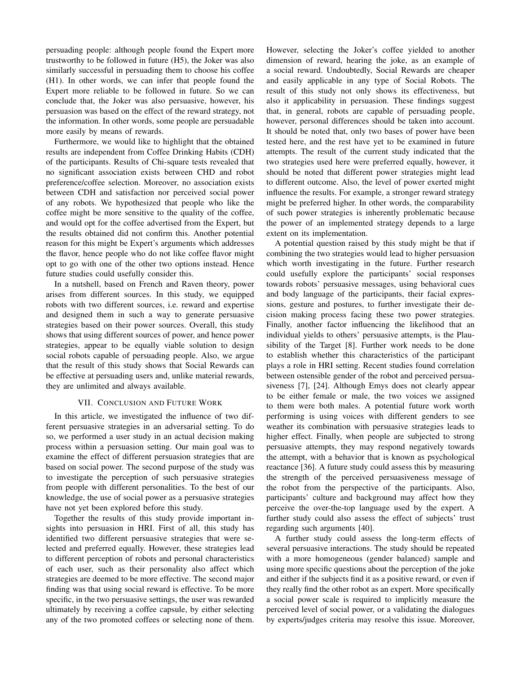persuading people: although people found the Expert more trustworthy to be followed in future (H5), the Joker was also similarly successful in persuading them to choose his coffee (H1). In other words, we can infer that people found the Expert more reliable to be followed in future. So we can conclude that, the Joker was also persuasive, however, his persuasion was based on the effect of the reward strategy, not the information. In other words, some people are persuadable more easily by means of rewards.

Furthermore, we would like to highlight that the obtained results are independent from Coffee Drinking Habits (CDH) of the participants. Results of Chi-square tests revealed that no significant association exists between CHD and robot preference/coffee selection. Moreover, no association exists between CDH and satisfaction nor perceived social power of any robots. We hypothesized that people who like the coffee might be more sensitive to the quality of the coffee, and would opt for the coffee advertised from the Expert, but the results obtained did not confirm this. Another potential reason for this might be Expert's arguments which addresses the flavor, hence people who do not like coffee flavor might opt to go with one of the other two options instead. Hence future studies could usefully consider this.

In a nutshell, based on French and Raven theory, power arises from different sources. In this study, we equipped robots with two different sources, i.e. reward and expertise and designed them in such a way to generate persuasive strategies based on their power sources. Overall, this study shows that using different sources of power, and hence power strategies, appear to be equally viable solution to design social robots capable of persuading people. Also, we argue that the result of this study shows that Social Rewards can be effective at persuading users and, unlike material rewards, they are unlimited and always available.

## VII. CONCLUSION AND FUTURE WORK

In this article, we investigated the influence of two different persuasive strategies in an adversarial setting. To do so, we performed a user study in an actual decision making process within a persuasion setting. Our main goal was to examine the effect of different persuasion strategies that are based on social power. The second purpose of the study was to investigate the perception of such persuasive strategies from people with different personalities. To the best of our knowledge, the use of social power as a persuasive strategies have not yet been explored before this study.

Together the results of this study provide important insights into persuasion in HRI. First of all, this study has identified two different persuasive strategies that were selected and preferred equally. However, these strategies lead to different perception of robots and personal characteristics of each user, such as their personality also affect which strategies are deemed to be more effective. The second major finding was that using social reward is effective. To be more specific, in the two persuasive settings, the user was rewarded ultimately by receiving a coffee capsule, by either selecting any of the two promoted coffees or selecting none of them.

However, selecting the Joker's coffee yielded to another dimension of reward, hearing the joke, as an example of a social reward. Undoubtedly, Social Rewards are cheaper and easily applicable in any type of Social Robots. The result of this study not only shows its effectiveness, but also it applicability in persuasion. These findings suggest that, in general, robots are capable of persuading people, however, personal differences should be taken into account. It should be noted that, only two bases of power have been tested here, and the rest have yet to be examined in future attempts. The result of the current study indicated that the two strategies used here were preferred equally, however, it should be noted that different power strategies might lead to different outcome. Also, the level of power exerted might influence the results. For example, a stronger reward strategy might be preferred higher. In other words, the comparability of such power strategies is inherently problematic because the power of an implemented strategy depends to a large extent on its implementation.

A potential question raised by this study might be that if combining the two strategies would lead to higher persuasion which worth investigating in the future. Further research could usefully explore the participants' social responses towards robots' persuasive messages, using behavioral cues and body language of the participants, their facial expressions, gesture and postures, to further investigate their decision making process facing these two power strategies. Finally, another factor influencing the likelihood that an individual yields to others' persuasive attempts, is the Plausibility of the Target [8]. Further work needs to be done to establish whether this characteristics of the participant plays a role in HRI setting. Recent studies found correlation between ostensible gender of the robot and perceived persuasiveness [7], [24]. Although Emys does not clearly appear to be either female or male, the two voices we assigned to them were both males. A potential future work worth performing is using voices with different genders to see weather its combination with persuasive strategies leads to higher effect. Finally, when people are subjected to strong persuasive attempts, they may respond negatively towards the attempt, with a behavior that is known as psychological reactance [36]. A future study could assess this by measuring the strength of the perceived persuasiveness message of the robot from the perspective of the participants. Also, participants' culture and background may affect how they perceive the over-the-top language used by the expert. A further study could also assess the effect of subjects' trust regarding such arguments [40].

A further study could assess the long-term effects of several persuasive interactions. The study should be repeated with a more homogeneous (gender balanced) sample and using more specific questions about the perception of the joke and either if the subjects find it as a positive reward, or even if they really find the other robot as an expert. More specifically a social power scale is required to implicitly measure the perceived level of social power, or a validating the dialogues by experts/judges criteria may resolve this issue. Moreover,